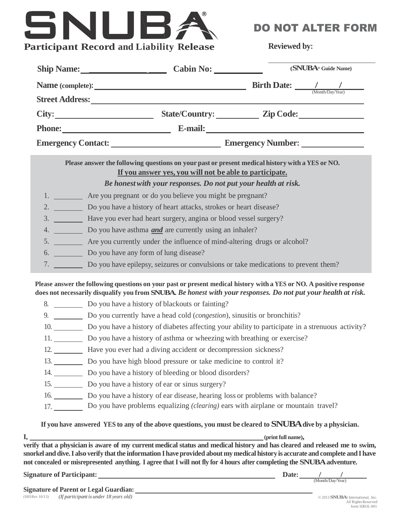## SNUB, **Participant Record and Liability Release**

DO NOT ALTER FORM

**Reviewed by:**

| Ship Name: Cabin No:                                                                                                                                                                                                                                                                                                                                                                                                                   | (SNUBA <sup>®</sup> Guide Name) |  |  |  |  |
|----------------------------------------------------------------------------------------------------------------------------------------------------------------------------------------------------------------------------------------------------------------------------------------------------------------------------------------------------------------------------------------------------------------------------------------|---------------------------------|--|--|--|--|
| Name (complete): $\frac{1}{\frac{1}{\frac{1}{2} \cdot \frac{1}{2} \cdot \frac{1}{2} \cdot \frac{1}{2} \cdot \frac{1}{2} \cdot \frac{1}{2} \cdot \frac{1}{2} \cdot \frac{1}{2} \cdot \frac{1}{2} \cdot \frac{1}{2} \cdot \frac{1}{2} \cdot \frac{1}{2} \cdot \frac{1}{2} \cdot \frac{1}{2} \cdot \frac{1}{2} \cdot \frac{1}{2} \cdot \frac{1}{2} \cdot \frac{1}{2} \cdot \frac{1}{2} \cdot \frac{1}{2} \cdot \frac{1}{2} \cdot \frac{1$ |                                 |  |  |  |  |
|                                                                                                                                                                                                                                                                                                                                                                                                                                        |                                 |  |  |  |  |
| City: State/Country: Zip Code:                                                                                                                                                                                                                                                                                                                                                                                                         |                                 |  |  |  |  |
|                                                                                                                                                                                                                                                                                                                                                                                                                                        | Phone: E-mail: E-mail:          |  |  |  |  |
|                                                                                                                                                                                                                                                                                                                                                                                                                                        |                                 |  |  |  |  |
| Please answer the following questions on your past or present medical history with a YES or NO.<br>If you answer yes, you will not be able to participate.                                                                                                                                                                                                                                                                             |                                 |  |  |  |  |
| Be honest with your responses. Do not put your health at risk.                                                                                                                                                                                                                                                                                                                                                                         |                                 |  |  |  |  |
| 1. __________ Are you pregnant or do you believe you might be pregnant?                                                                                                                                                                                                                                                                                                                                                                |                                 |  |  |  |  |
| 2. Do you have a history of heart attacks, strokes or heart disease?                                                                                                                                                                                                                                                                                                                                                                   |                                 |  |  |  |  |
| 3. __________ Have you ever had heart surgery, angina or blood vessel surgery?                                                                                                                                                                                                                                                                                                                                                         |                                 |  |  |  |  |
| 4. Do you have asthma <b>and</b> are currently using an inhaler?                                                                                                                                                                                                                                                                                                                                                                       |                                 |  |  |  |  |
| 5. _________ Are you currently under the influence of mind-altering drugs or alcohol?                                                                                                                                                                                                                                                                                                                                                  |                                 |  |  |  |  |
|                                                                                                                                                                                                                                                                                                                                                                                                                                        |                                 |  |  |  |  |
| 6. Do you have any form of lung disease?                                                                                                                                                                                                                                                                                                                                                                                               |                                 |  |  |  |  |
| 7. Do you have epilepsy, seizures or convulsions or take medications to prevent them?                                                                                                                                                                                                                                                                                                                                                  |                                 |  |  |  |  |
| Please answer the following questions on your past or present medical history with a YES or NO. A positive response<br>does not necessarily disqualify you from SNUBA. Be honest with your responses. Do not put your health at risk.                                                                                                                                                                                                  |                                 |  |  |  |  |
| 8. Do you have a history of blackouts or fainting?                                                                                                                                                                                                                                                                                                                                                                                     |                                 |  |  |  |  |
| 9. Do you currently have a head cold ( <i>congestion</i> ), sinusitis or bronchitis?                                                                                                                                                                                                                                                                                                                                                   |                                 |  |  |  |  |
| 10. Do you have a history of diabetes affecting your ability to participate in a strenuous activity?                                                                                                                                                                                                                                                                                                                                   |                                 |  |  |  |  |
| 11. Do you have a history of asthma or wheezing with breathing or exercise?                                                                                                                                                                                                                                                                                                                                                            |                                 |  |  |  |  |
| 12. Have you ever had a diving accident or decompression sickness?                                                                                                                                                                                                                                                                                                                                                                     |                                 |  |  |  |  |
| 13. Do you have high blood pressure or take medicine to control it?                                                                                                                                                                                                                                                                                                                                                                    |                                 |  |  |  |  |
| 14. Do you have a history of bleeding or blood disorders?                                                                                                                                                                                                                                                                                                                                                                              |                                 |  |  |  |  |
| 15. Do you have a history of ear or sinus surgery?                                                                                                                                                                                                                                                                                                                                                                                     |                                 |  |  |  |  |
| 16. Do you have a history of ear disease, hearing loss or problems with balance?                                                                                                                                                                                                                                                                                                                                                       |                                 |  |  |  |  |

verify that a physician is aware of my current medical status and medical history and has cleared and released me to swim, snorkel and dive. I also verify that the information I have provided about my medical history is accurate and complete and I have not concealed or misrepresented anything. I agree that I will not fly for 4 hours after completing the SNUBA adventure.

**Signature** of Participant: <u>*Date: Date: Date: Date: Date: Date: Date: Date: Date: Date: Date: Date: Date: Date: Date: Date: Date: Date: Date: Date: Date: Date: Date: Date: </u>* 

 $\begin{array}{c|c} & f \\ \hline \textbf{(Month/Day/Year)} & \end{array}$ 

**Signature of Parent or Legal Guardian:**